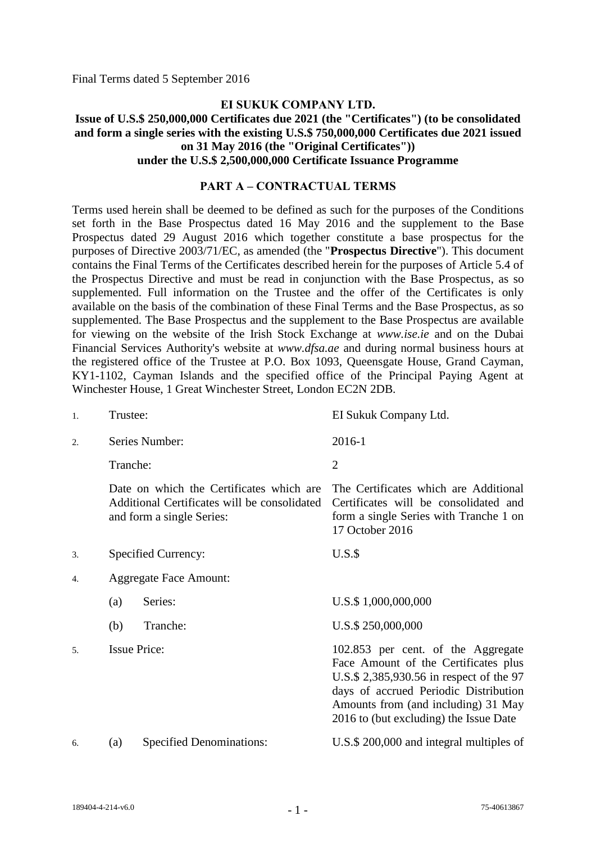Final Terms dated 5 September 2016

#### **EI SUKUK COMPANY LTD.**

#### **Issue of U.S.\$ 250,000,000 Certificates due 2021 (the "Certificates") (to be consolidated and form a single series with the existing U.S.\$ 750,000,000 Certificates due 2021 issued on 31 May 2016 (the "Original Certificates")) under the U.S.\$ 2,500,000,000 Certificate Issuance Programme**

#### **PART A – CONTRACTUAL TERMS**

Terms used herein shall be deemed to be defined as such for the purposes of the Conditions set forth in the Base Prospectus dated 16 May 2016 and the supplement to the Base Prospectus dated 29 August 2016 which together constitute a base prospectus for the purposes of Directive 2003/71/EC, as amended (the "**Prospectus Directive**"). This document contains the Final Terms of the Certificates described herein for the purposes of Article 5.4 of the Prospectus Directive and must be read in conjunction with the Base Prospectus, as so supplemented. Full information on the Trustee and the offer of the Certificates is only available on the basis of the combination of these Final Terms and the Base Prospectus, as so supplemented. The Base Prospectus and the supplement to the Base Prospectus are available for viewing on the website of the Irish Stock Exchange at *www.ise.ie* and on the Dubai Financial Services Authority's website at *www.dfsa.ae* and during normal business hours at the registered office of the Trustee at P.O. Box 1093, Queensgate House, Grand Cayman, KY1-1102, Cayman Islands and the specified office of the Principal Paying Agent at Winchester House, 1 Great Winchester Street, London EC2N 2DB.

| 1. | Trustee:                      |                                                                                                                       | EI Sukuk Company Ltd.                                                                                                                                                                                                                            |
|----|-------------------------------|-----------------------------------------------------------------------------------------------------------------------|--------------------------------------------------------------------------------------------------------------------------------------------------------------------------------------------------------------------------------------------------|
| 2. |                               | Series Number:                                                                                                        | 2016-1                                                                                                                                                                                                                                           |
|    | Tranche:                      |                                                                                                                       | $\overline{2}$                                                                                                                                                                                                                                   |
|    |                               | Date on which the Certificates which are<br>Additional Certificates will be consolidated<br>and form a single Series: | The Certificates which are Additional<br>Certificates will be consolidated and<br>form a single Series with Tranche 1 on<br>17 October 2016                                                                                                      |
| 3. |                               | Specified Currency:                                                                                                   | $U.S.\$                                                                                                                                                                                                                                          |
| 4. | <b>Aggregate Face Amount:</b> |                                                                                                                       |                                                                                                                                                                                                                                                  |
|    | (a)                           | Series:                                                                                                               | U.S.\$ 1,000,000,000                                                                                                                                                                                                                             |
|    | (b)                           | Tranche:                                                                                                              | U.S.\$ 250,000,000                                                                                                                                                                                                                               |
| 5. | <b>Issue Price:</b>           |                                                                                                                       | 102.853 per cent. of the Aggregate<br>Face Amount of the Certificates plus<br>U.S.\$ 2,385,930.56 in respect of the 97<br>days of accrued Periodic Distribution<br>Amounts from (and including) 31 May<br>2016 to (but excluding) the Issue Date |
| 6. | (a)                           | <b>Specified Denominations:</b>                                                                                       | U.S.\$ 200,000 and integral multiples of                                                                                                                                                                                                         |
|    |                               |                                                                                                                       |                                                                                                                                                                                                                                                  |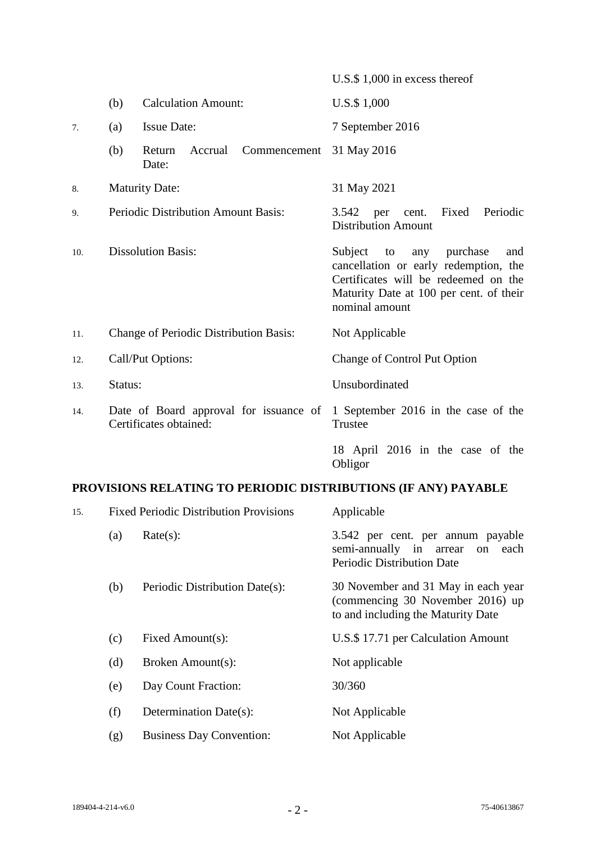|     |                                               |                                                                  | U.S. $$1,000$ in excess thereof                                                                                                                                                       |
|-----|-----------------------------------------------|------------------------------------------------------------------|---------------------------------------------------------------------------------------------------------------------------------------------------------------------------------------|
|     | (b)                                           | <b>Calculation Amount:</b>                                       | U.S.\$ 1,000                                                                                                                                                                          |
| 7.  | (a)                                           | <b>Issue Date:</b>                                               | 7 September 2016                                                                                                                                                                      |
|     | (b)                                           | Accrual<br>Commencement<br>Return<br>Date:                       | 31 May 2016                                                                                                                                                                           |
| 8.  |                                               | <b>Maturity Date:</b>                                            | 31 May 2021                                                                                                                                                                           |
| 9.  |                                               | <b>Periodic Distribution Amount Basis:</b>                       | 3.542 per<br>cent.<br>Fixed<br>Periodic<br><b>Distribution Amount</b>                                                                                                                 |
| 10. | <b>Dissolution Basis:</b>                     |                                                                  | Subject<br>purchase<br>to<br>any<br>and<br>cancellation or early redemption, the<br>Certificates will be redeemed on the<br>Maturity Date at 100 per cent. of their<br>nominal amount |
| 11. | <b>Change of Periodic Distribution Basis:</b> |                                                                  | Not Applicable                                                                                                                                                                        |
| 12. | Call/Put Options:                             |                                                                  | <b>Change of Control Put Option</b>                                                                                                                                                   |
| 13. | Status:                                       |                                                                  | Unsubordinated                                                                                                                                                                        |
| 14. |                                               | Date of Board approval for issuance of<br>Certificates obtained: | 1 September 2016 in the case of the<br>Trustee                                                                                                                                        |
|     |                                               |                                                                  | 18 April 2016 in the case of the<br>Obligor                                                                                                                                           |

# **PROVISIONS RELATING TO PERIODIC DISTRIBUTIONS (IF ANY) PAYABLE**

| 15. |     | <b>Fixed Periodic Distribution Provisions</b> | Applicable                                                                                                    |
|-----|-----|-----------------------------------------------|---------------------------------------------------------------------------------------------------------------|
|     | (a) | Rate(s):                                      | 3.542 per cent. per annum payable<br>semi-annually in arrear on<br>each<br><b>Periodic Distribution Date</b>  |
|     | (b) | Periodic Distribution Date(s):                | 30 November and 31 May in each year<br>(commencing 30 November 2016) up<br>to and including the Maturity Date |
|     | (c) | Fixed Amount(s):                              | U.S.\$ 17.71 per Calculation Amount                                                                           |
|     | (d) | Broken Amount(s):                             | Not applicable                                                                                                |
|     | (e) | Day Count Fraction:                           | 30/360                                                                                                        |
|     | (f) | Determination Date(s):                        | Not Applicable                                                                                                |
|     | (g) | <b>Business Day Convention:</b>               | Not Applicable                                                                                                |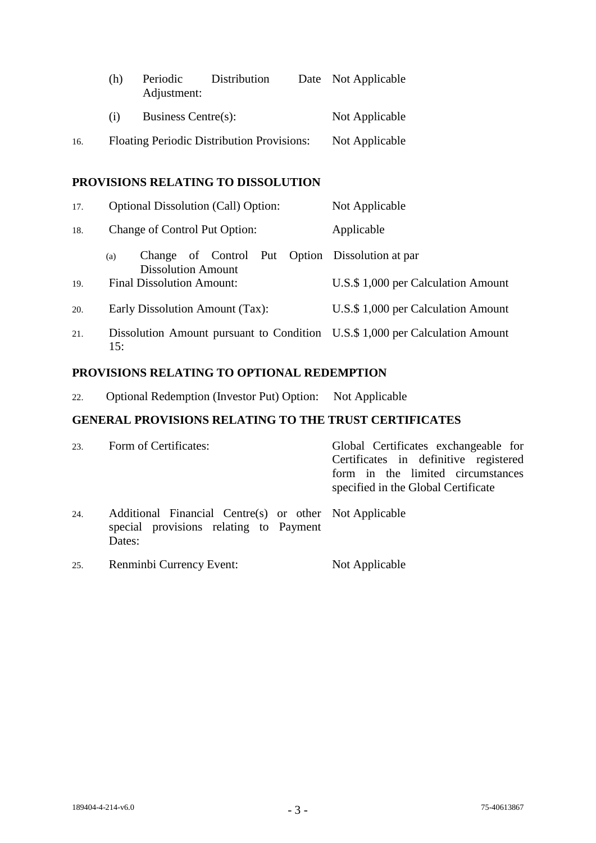|     | (h) | Periodic<br>Adjustment: | Distribution                                      | Date Not Applicable |
|-----|-----|-------------------------|---------------------------------------------------|---------------------|
|     | (1) | Business Centre(s):     |                                                   | Not Applicable      |
| 16. |     |                         | <b>Floating Periodic Distribution Provisions:</b> | Not Applicable      |

# **PROVISIONS RELATING TO DISSOLUTION**

| 17. | <b>Optional Dissolution (Call) Option:</b>                                          | Not Applicable                      |
|-----|-------------------------------------------------------------------------------------|-------------------------------------|
| 18. | <b>Change of Control Put Option:</b>                                                | Applicable                          |
|     | Change of Control Put Option Dissolution at par<br>(a)<br>Dissolution Amount        |                                     |
| 19. | <b>Final Dissolution Amount:</b>                                                    | U.S. \$1,000 per Calculation Amount |
| 20. | Early Dissolution Amount (Tax):                                                     | U.S. \$1,000 per Calculation Amount |
| 21. | Dissolution Amount pursuant to Condition U.S.\$ 1,000 per Calculation Amount<br>15: |                                     |

### **PROVISIONS RELATING TO OPTIONAL REDEMPTION**

22. Optional Redemption (Investor Put) Option: Not Applicable

# **GENERAL PROVISIONS RELATING TO THE TRUST CERTIFICATES**

| 23. | Form of Certificates:                                                                                      | Global Certificates exchangeable for<br>Certificates in definitive registered<br>form in the limited circumstances<br>specified in the Global Certificate |
|-----|------------------------------------------------------------------------------------------------------------|-----------------------------------------------------------------------------------------------------------------------------------------------------------|
| 24. | Additional Financial Centre(s) or other Not Applicable<br>special provisions relating to Payment<br>Dates: |                                                                                                                                                           |
| 25. | Renminbi Currency Event:                                                                                   | Not Applicable                                                                                                                                            |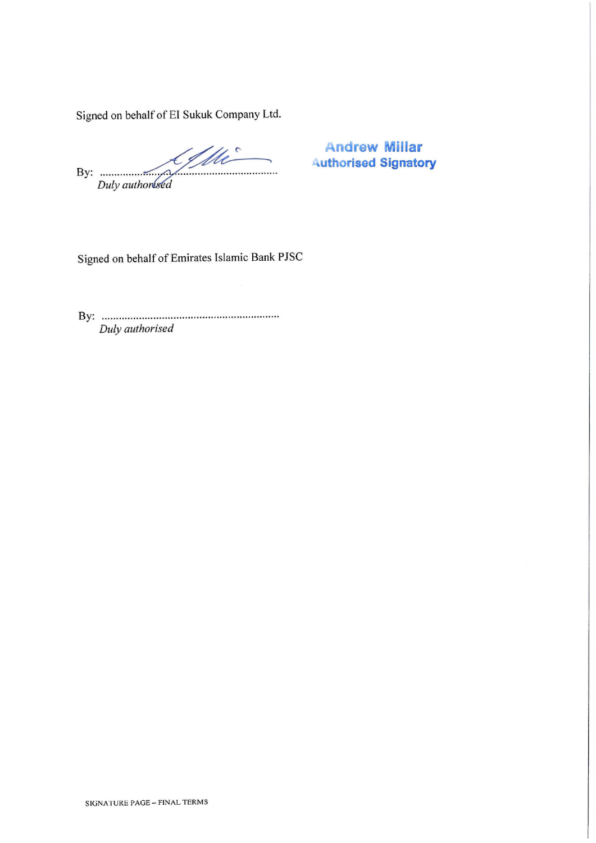Signed on behalf of EI Sukuk Company Ltd.

By: manufactured

**Andrew Millar**<br>Authorised Signatory

Signed on behalf of Emirates Islamic Bank PJSC

Duly authorised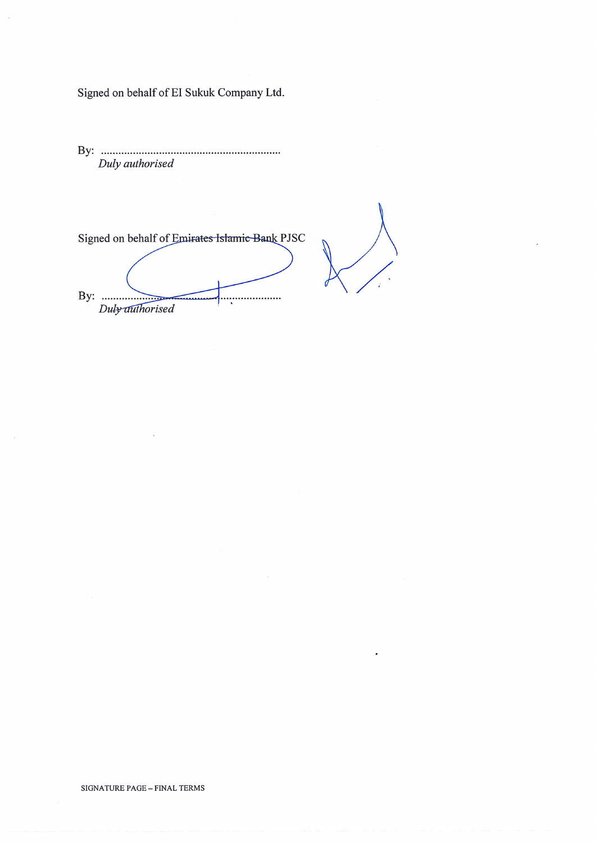Signed on behalf of EI Sukuk Company Ltd.

 $\begin{minipage}{.4\linewidth} By: \begin{tabular}{l} \textbf{?} \textbf{?} \end{tabular} \end{minipage}$  Duly authorised

Signed on behalf of Emirates Islamic Bank PJSC Duly authorised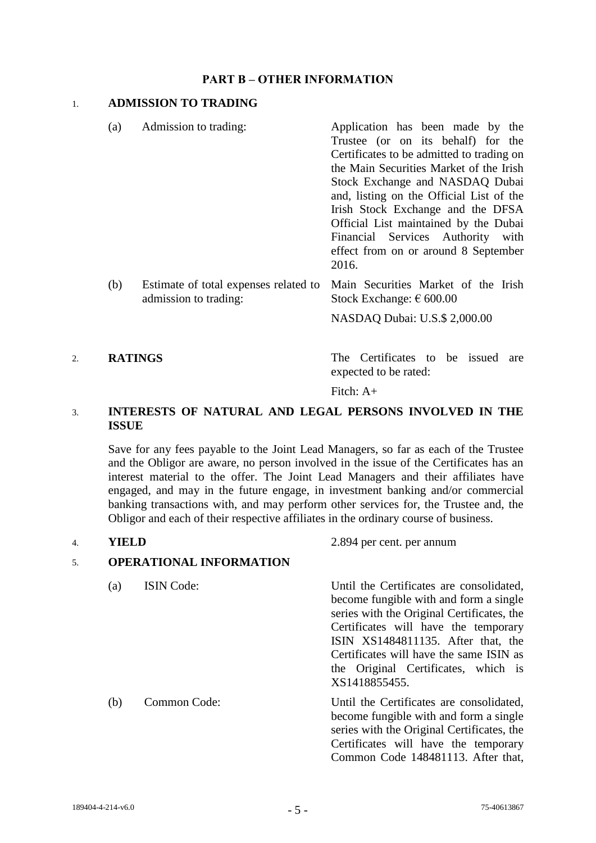## **PART B – OTHER INFORMATION**

#### 1. **ADMISSION TO TRADING**

| (a) | Admission to trading:                                          | Application has been made by the<br>Trustee (or on its behalf) for the<br>Certificates to be admitted to trading on<br>the Main Securities Market of the Irish<br>Stock Exchange and NASDAQ Dubai<br>and, listing on the Official List of the<br>Irish Stock Exchange and the DFSA<br>Official List maintained by the Dubai<br>Financial Services Authority<br>with<br>effect from on or around 8 September<br>2016. |
|-----|----------------------------------------------------------------|----------------------------------------------------------------------------------------------------------------------------------------------------------------------------------------------------------------------------------------------------------------------------------------------------------------------------------------------------------------------------------------------------------------------|
| (b) | Estimate of total expenses related to<br>admission to trading: | Main Securities Market of the Irish<br>Stock Exchange: $\epsilon$ 600.00<br>NASDAQ Dubai: U.S.\$ 2,000.00                                                                                                                                                                                                                                                                                                            |

2. **RATINGS** The Certificates to be issued are expected to be rated:

Fitch: A+

## 3. **INTERESTS OF NATURAL AND LEGAL PERSONS INVOLVED IN THE ISSUE**

Save for any fees payable to the Joint Lead Managers, so far as each of the Trustee and the Obligor are aware, no person involved in the issue of the Certificates has an interest material to the offer. The Joint Lead Managers and their affiliates have engaged, and may in the future engage, in investment banking and/or commercial banking transactions with, and may perform other services for, the Trustee and, the Obligor and each of their respective affiliates in the ordinary course of business.

| 4. | <b>YIELD</b> |                                | 2.894 per cent. per annum                                                                                                                                                                                                                                                                                         |  |  |
|----|--------------|--------------------------------|-------------------------------------------------------------------------------------------------------------------------------------------------------------------------------------------------------------------------------------------------------------------------------------------------------------------|--|--|
| 5. |              | <b>OPERATIONAL INFORMATION</b> |                                                                                                                                                                                                                                                                                                                   |  |  |
|    | (a)          | <b>ISIN</b> Code:              | Until the Certificates are consolidated,<br>become fungible with and form a single<br>series with the Original Certificates, the<br>Certificates will have the temporary<br>ISIN XS1484811135. After that, the<br>Certificates will have the same ISIN as<br>the Original Certificates, which is<br>XS1418855455. |  |  |
|    | (b)          | Common Code:                   | Until the Certificates are consolidated,<br>become fungible with and form a single<br>series with the Original Certificates, the<br>Certificates will have the temporary<br>Common Code 148481113. After that,                                                                                                    |  |  |